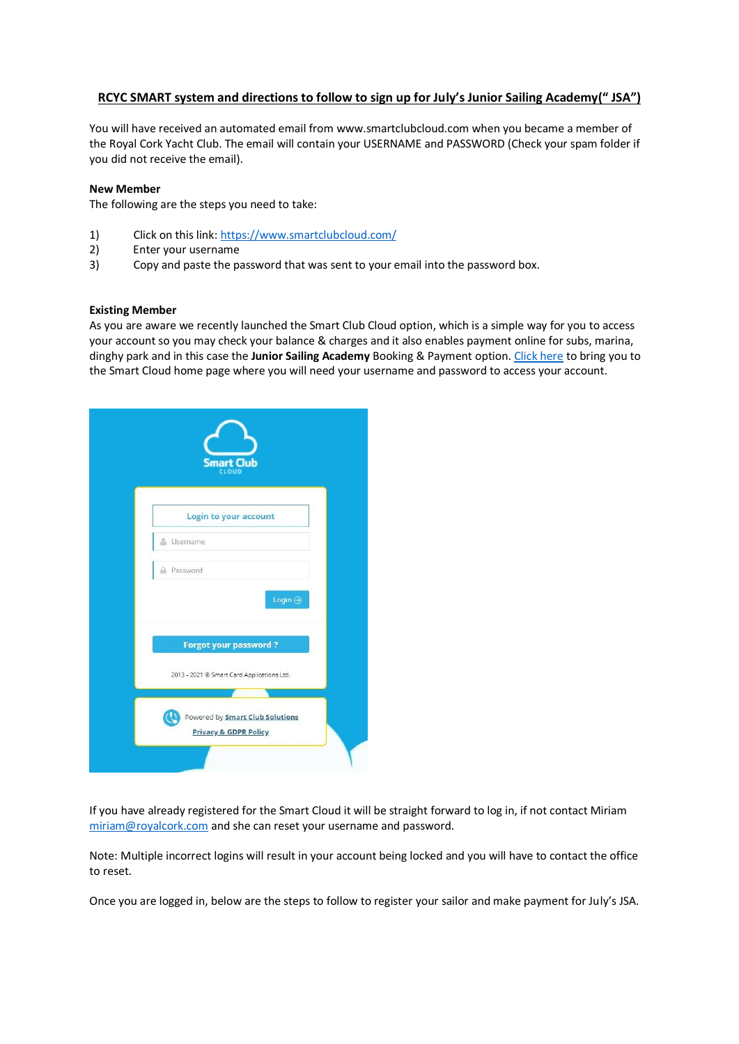## **RCYC SMART system and directions to follow to sign up for July's Junior Sailing Academy(" JSA")**

You will have received an automated email from [www.smartclubcloud.com](http://www.smartclubcloud.com/) when you became a member of the Royal Cork Yacht Club. The email will contain your USERNAME and PASSWORD (Check your spam folder if you did not receive the email).

## **New Member**

The following are the steps you need to take:

- 1) Click on this link[: https://www.smartclubcloud.com/](https://www.smartclubcloud.com/)
- 2) Enter your username
- 3) Copy and paste the password that was sent to your email into the password box.

## **Existing Member**

As you are aware we recently launched the Smart Club Cloud option, which is a simple way for you to access your account so you may check your balance & charges and it also enables payment online for subs, marina, dinghy park and in this case the **Junior Sailing Academy** Booking & Payment option[. Click here](https://www.smartclubcloud.com/) to bring you to the Smart Cloud home page where you will need your username and password to access your account.

| <b>Smart Club</b>                                                          |  |
|----------------------------------------------------------------------------|--|
| <b>Login to your account</b>                                               |  |
| Username                                                                   |  |
| Password                                                                   |  |
| Login $\bigoplus$                                                          |  |
| <b>Forgot your password?</b>                                               |  |
| 2013 - 2021 @ Smart Card Applications Ltd.                                 |  |
|                                                                            |  |
| Powered by <b>Smart Club Solutions</b><br><b>Privacy &amp; GDPR Policy</b> |  |
|                                                                            |  |

If you have already registered for the Smart Cloud it will be straight forward to log in, if not contact Miriam [miriam@royalcork.com](mailto:miriam@royalcork.com) and she can reset your username and password.

Note: Multiple incorrect logins will result in your account being locked and you will have to contact the office to reset.

Once you are logged in, below are the steps to follow to register your sailor and make payment for July's JSA.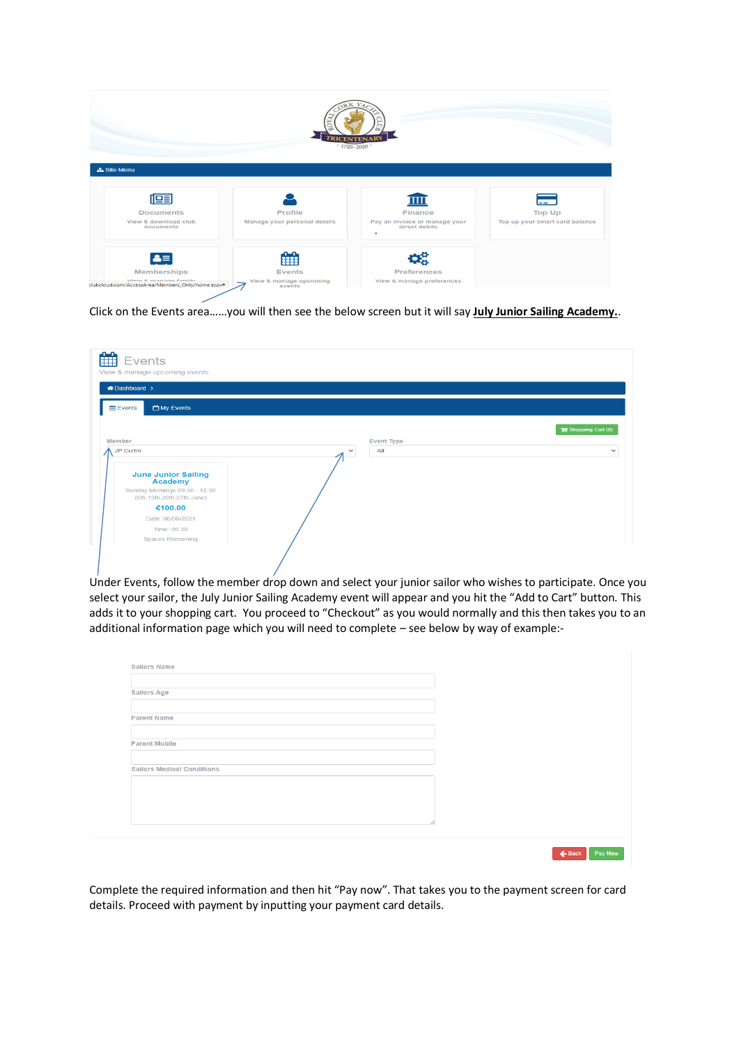

Click on the Events area……you will then see the below screen but it will say **July Junior Sailing Academy.**.

| View & manage upcoming events<br>A Dashboard >                |                     |                   |
|---------------------------------------------------------------|---------------------|-------------------|
| <b>Exents</b><br>My Events                                    |                     |                   |
|                                                               |                     | Shopping Cart (0) |
| Member                                                        | <b>Event Type</b>   |                   |
| JP Curtin                                                     | All<br>$\checkmark$ |                   |
|                                                               |                     |                   |
| <b>June Junior Sailing</b><br><b>Academy</b>                  |                     |                   |
| Sunday Mornings 09.30 - 12.30<br>(6th, 13th, 20th, 27th June) |                     |                   |
| €100.00                                                       |                     |                   |
| Date: 06/06/2021                                              |                     |                   |
| Time: 09:30                                                   |                     |                   |
| <b>Spaces Remaining</b>                                       |                     |                   |

Under Events, follow the member drop down and select your junior sailor who wishes to participate. Once you select your sailor, the July Junior Sailing Academy event will appear and you hit the "Add to Cart" button. This adds it to your shopping cart. You proceed to "Checkout" as you would normally and this then takes you to an additional information page which you will need to complete – see below by way of example:-

| <b>Sailors Age</b>                |  |  |  |
|-----------------------------------|--|--|--|
|                                   |  |  |  |
|                                   |  |  |  |
| <b>Parent Name</b>                |  |  |  |
|                                   |  |  |  |
|                                   |  |  |  |
| <b>Parent Mobile</b>              |  |  |  |
|                                   |  |  |  |
| <b>Sailors Medical Conditions</b> |  |  |  |
|                                   |  |  |  |
|                                   |  |  |  |
|                                   |  |  |  |
|                                   |  |  |  |
|                                   |  |  |  |

Complete the required information and then hit "Pay now". That takes you to the payment screen for card details. Proceed with payment by inputting your payment card details.